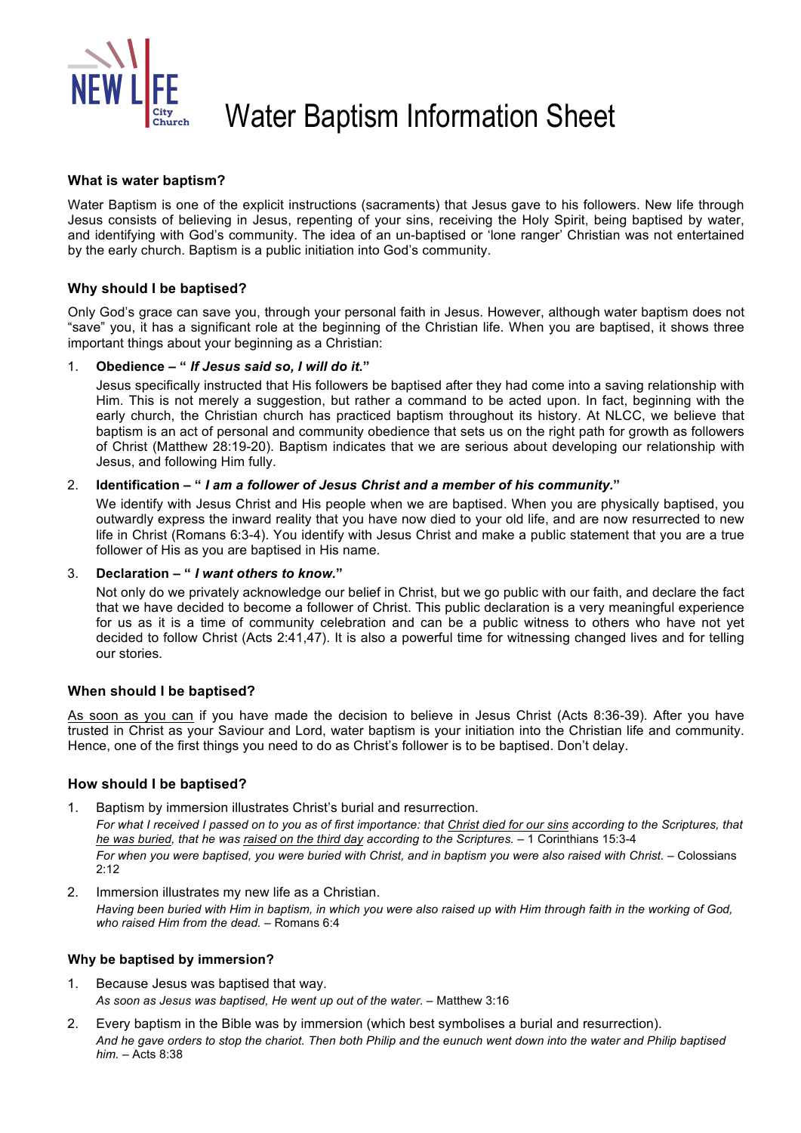

# Water Baptism Information Sheet

#### **What is water baptism?**

Water Baptism is one of the explicit instructions (sacraments) that Jesus gave to his followers. New life through Jesus consists of believing in Jesus, repenting of your sins, receiving the Holy Spirit, being baptised by water, and identifying with God's community. The idea of an un-baptised or 'lone ranger' Christian was not entertained by the early church. Baptism is a public initiation into God's community.

#### **Why should I be baptised?**

Only God's grace can save you, through your personal faith in Jesus. However, although water baptism does not "save" you, it has a significant role at the beginning of the Christian life. When you are baptised, it shows three important things about your beginning as a Christian:

#### 1. **Obedience – "** *If Jesus said so, I will do it.***"**

Jesus specifically instructed that His followers be baptised after they had come into a saving relationship with Him. This is not merely a suggestion, but rather a command to be acted upon. In fact, beginning with the early church, the Christian church has practiced baptism throughout its history. At NLCC, we believe that baptism is an act of personal and community obedience that sets us on the right path for growth as followers of Christ (Matthew 28:19-20). Baptism indicates that we are serious about developing our relationship with Jesus, and following Him fully.

#### 2. **Identification – "** *I am a follower of Jesus Christ and a member of his community.***"**

We identify with Jesus Christ and His people when we are baptised. When you are physically baptised, you outwardly express the inward reality that you have now died to your old life, and are now resurrected to new life in Christ (Romans 6:3-4). You identify with Jesus Christ and make a public statement that you are a true follower of His as you are baptised in His name.

#### 3. **Declaration – "** *I want others to know.***"**

Not only do we privately acknowledge our belief in Christ, but we go public with our faith, and declare the fact that we have decided to become a follower of Christ. This public declaration is a very meaningful experience for us as it is a time of community celebration and can be a public witness to others who have not yet decided to follow Christ (Acts 2:41,47). It is also a powerful time for witnessing changed lives and for telling our stories.

#### **When should I be baptised?**

As soon as you can if you have made the decision to believe in Jesus Christ (Acts 8:36-39). After you have trusted in Christ as your Saviour and Lord, water baptism is your initiation into the Christian life and community. Hence, one of the first things you need to do as Christ's follower is to be baptised. Don't delay.

#### **How should I be baptised?**

Baptism by immersion illustrates Christ's burial and resurrection.

*For what I received I passed on to you as of first importance: that Christ died for our sins according to the Scriptures, that he was buried, that he was raised on the third day according to the Scriptures.* – 1 Corinthians 15:3-4 *For when you were baptised, you were buried with Christ, and in baptism you were also raised with Christ.* – Colossians 2:12

2. Immersion illustrates my new life as a Christian. *Having been buried with Him in baptism, in which you were also raised up with Him through faith in the working of God, who raised Him from the dead.* – Romans 6:4

#### **Why be baptised by immersion?**

- 1. Because Jesus was baptised that way. As soon as Jesus was baptised, He went up out of the water. - Matthew 3:16
- 2. Every baptism in the Bible was by immersion (which best symbolises a burial and resurrection). *And he gave orders to stop the chariot. Then both Philip and the eunuch went down into the water and Philip baptised him.* – Acts 8:38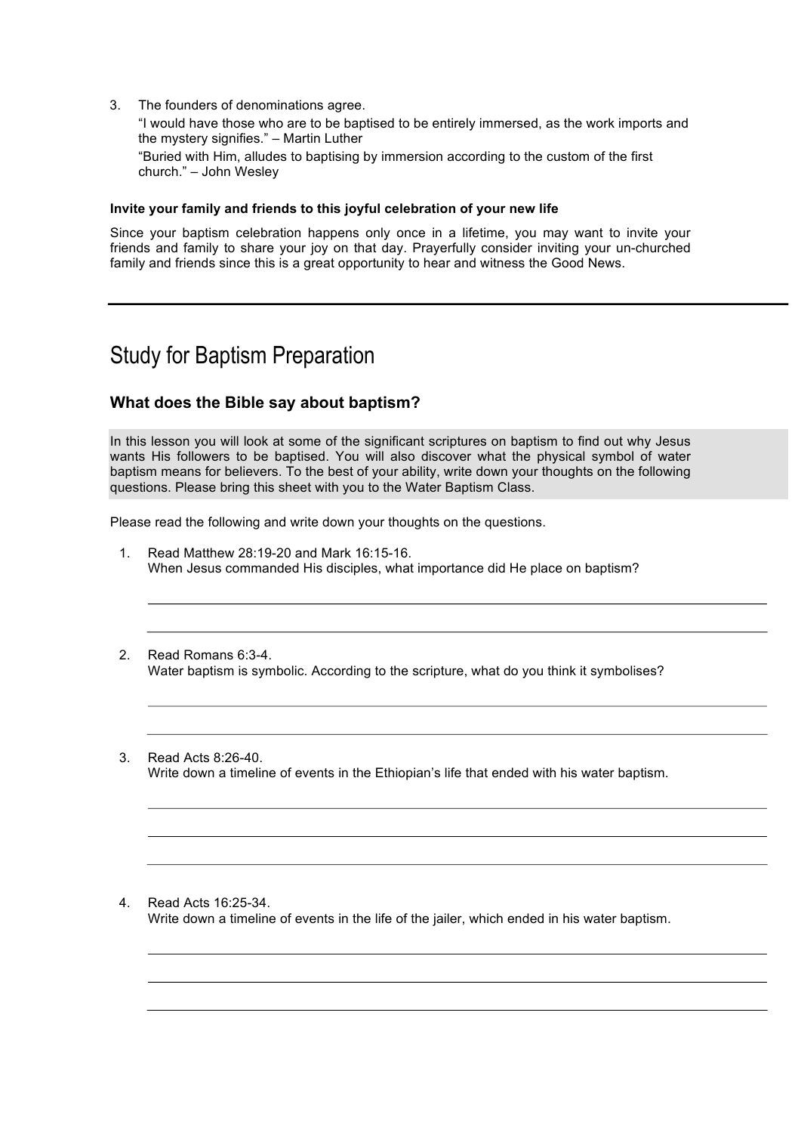3. The founders of denominations agree.

"I would have those who are to be baptised to be entirely immersed, as the work imports and the mystery signifies." – Martin Luther "Buried with Him, alludes to baptising by immersion according to the custom of the first church." – John Wesley

#### **Invite your family and friends to this joyful celebration of your new life**

Since your baptism celebration happens only once in a lifetime, you may want to invite your friends and family to share your joy on that day. Prayerfully consider inviting your un-churched family and friends since this is a great opportunity to hear and witness the Good News.

## Study for Baptism Preparation

### **What does the Bible say about baptism?**

In this lesson you will look at some of the significant scriptures on baptism to find out why Jesus wants His followers to be baptised. You will also discover what the physical symbol of water baptism means for believers. To the best of your ability, write down your thoughts on the following questions. Please bring this sheet with you to the Water Baptism Class.

Please read the following and write down your thoughts on the questions.



4. Read Acts 16:25-34. Write down a timeline of events in the life of the jailer, which ended in his water baptism.